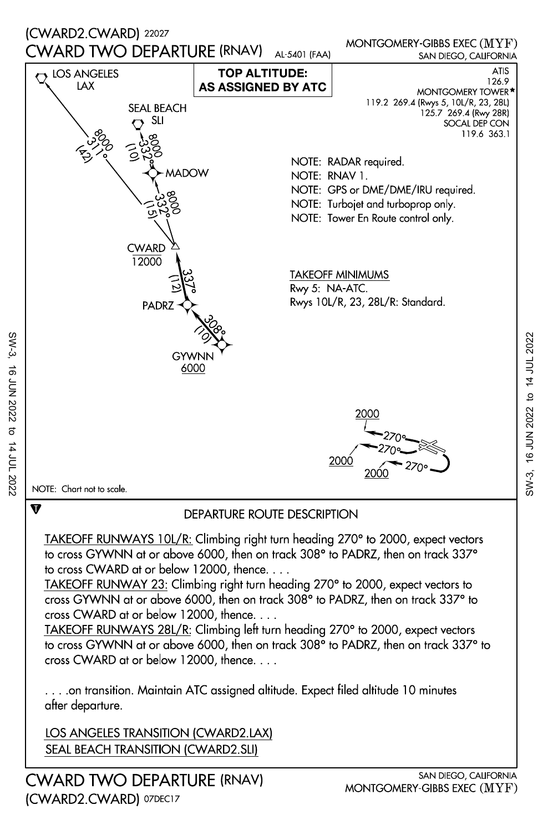

NOTE: Chart not to scale.

 $\overline{\mathbf{v}}$ 

SW-3, 16 JUN 2022 to 14 JUL 2022

 $\vec{\sigma}$ 

14 JUL 2022

**16 JUN 2022** 

 $SW-3$ 

## DEPARTURE ROUTE DESCRIPTION

to cross CWARD at or below 12000, thence. . . . to cross GYWNN at or above 6000, then on track 308° to PADRZ, then on track 337° TAKEOFF RUNWAYS 10L/R: Climbing right turn heading 270° to 2000, expect vectors

cross CWARD at or below 12000, thence. . . . cross GYWNN at or above 6000, then on track 308° to PADRZ, then on track 337° to TAKEOFF RUNWAY 23: Climbing right turn heading 270° to 2000, expect vectors to

cross CWARD at or below 12000, thence. . . . to cross GYWNN at or above 6000, then on track 308° to PADRZ, then on track 337° to TAKEOFF RUNWAYS 28L/R: Climbing left turn heading 270° to 2000, expect vectors

after departure. . . . .on transition. Maintain ATC assigned altitude. Expect filed altitude 10 minutes

LOS ANGELES TRANSITION (CWARD2.LAX) SEAL BEACH TRANSITION (CWARD2.SLI)

CWARD TWO DEPARTURE (CWARD2.CWARD) 07DEC17